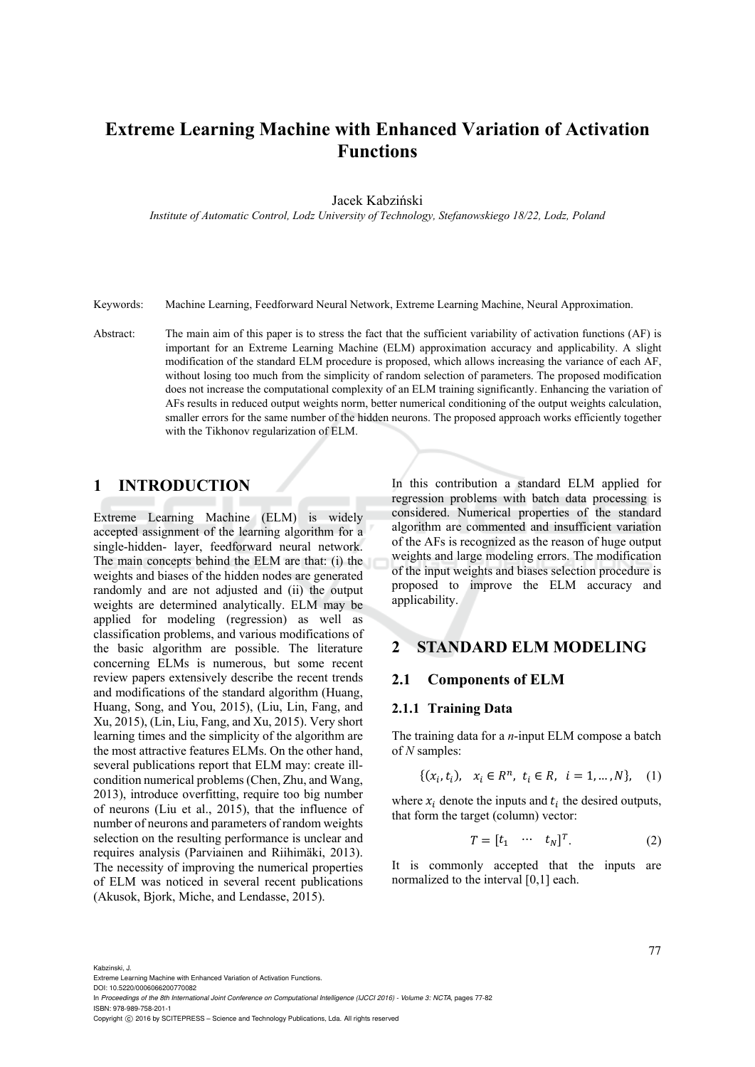# **Extreme Learning Machine with Enhanced Variation of Activation Functions**

Jacek Kabziński

*Institute of Automatic Control, Lodz University of Technology, Stefanowskiego 18/22, Lodz, Poland* 

Keywords: Machine Learning, Feedforward Neural Network, Extreme Learning Machine, Neural Approximation.

Abstract: The main aim of this paper is to stress the fact that the sufficient variability of activation functions (AF) is important for an Extreme Learning Machine (ELM) approximation accuracy and applicability. A slight modification of the standard ELM procedure is proposed, which allows increasing the variance of each AF, without losing too much from the simplicity of random selection of parameters. The proposed modification does not increase the computational complexity of an ELM training significantly. Enhancing the variation of AFs results in reduced output weights norm, better numerical conditioning of the output weights calculation, smaller errors for the same number of the hidden neurons. The proposed approach works efficiently together with the Tikhonov regularization of ELM.

# **1 INTRODUCTION**

Extreme Learning Machine (ELM) is widely accepted assignment of the learning algorithm for a single-hidden- layer, feedforward neural network. The main concepts behind the ELM are that: (i) the weights and biases of the hidden nodes are generated randomly and are not adjusted and (ii) the output weights are determined analytically. ELM may be applied for modeling (regression) as well as classification problems, and various modifications of the basic algorithm are possible. The literature concerning ELMs is numerous, but some recent review papers extensively describe the recent trends and modifications of the standard algorithm (Huang, Huang, Song, and You, 2015), (Liu, Lin, Fang, and Xu, 2015), (Lin, Liu, Fang, and Xu, 2015). Very short learning times and the simplicity of the algorithm are the most attractive features ELMs. On the other hand, several publications report that ELM may: create illcondition numerical problems (Chen, Zhu, and Wang, 2013), introduce overfitting, require too big number of neurons (Liu et al., 2015), that the influence of number of neurons and parameters of random weights selection on the resulting performance is unclear and requires analysis (Parviainen and Riihimäki, 2013). The necessity of improving the numerical properties of ELM was noticed in several recent publications (Akusok, Bjork, Miche, and Lendasse, 2015).

In this contribution a standard ELM applied for regression problems with batch data processing is considered. Numerical properties of the standard algorithm are commented and insufficient variation of the AFs is recognized as the reason of huge output weights and large modeling errors. The modification of the input weights and biases selection procedure is proposed to improve the ELM accuracy and applicability.

### **2 STANDARD ELM MODELING**

#### **2.1 Components of ELM**

#### **2.1.1 Training Data**

The training data for a *n*-input ELM compose a batch of *N* samples:

$$
\{(x_i, t_i), \ x_i \in R^n, \ t_i \in R, \ i = 1, ..., N\}, \ (1)
$$

where  $x_i$  denote the inputs and  $t_i$  the desired outputs, that form the target (column) vector:

$$
T = [t_1 \cdots t_N]^T. \tag{2}
$$

It is commonly accepted that the inputs are normalized to the interval [0,1] each.

Kabzinski, J.

In *Proceedings of the 8th International Joint Conference on Computational Intelligence (IJCCI 2016) - Volume 3: NCTA*, pages 77-82 ISBN: 978-989-758-201-1

Extreme Learning Machine with Enhanced Variation of Activation Functions. DOI: 10.5220/0006066200770082

Copyright  $\odot$  2016 by SCITEPRESS - Science and Technology Publications, Lda. All rights reserved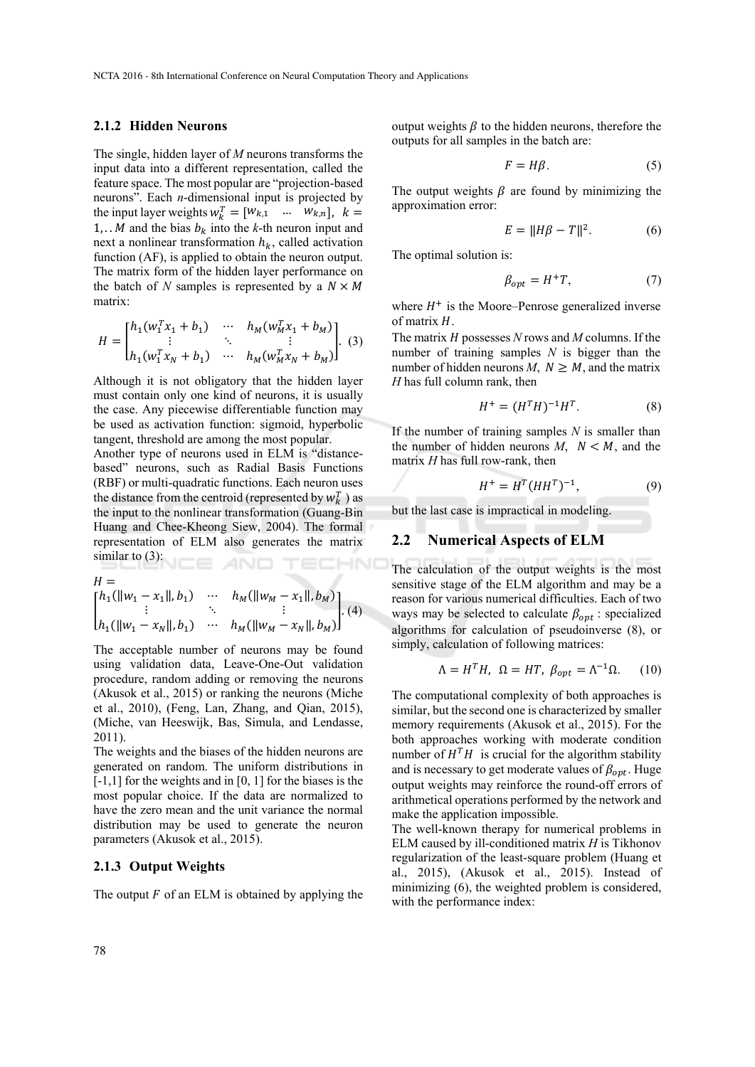#### **2.1.2 Hidden Neurons**

The single, hidden layer of *M* neurons transforms the input data into a different representation, called the feature space. The most popular are "projection-based neurons". Each *n*-dimensional input is projected by the input layer weights  $w_k^T = [W_{k,1} \dots \dots \dots W_{k,n}], k =$ 1,  $\cdot$  *M* and the bias  $b_k$  into the *k*-th neuron input and next a nonlinear transformation  $h_k$ , called activation function (AF), is applied to obtain the neuron output. The matrix form of the hidden layer performance on the batch of N samples is represented by a  $N \times M$ matrix:

$$
H = \begin{bmatrix} h_1(w_1^T x_1 + b_1) & \cdots & h_M(w_M^T x_1 + b_M) \\ \vdots & \ddots & \vdots \\ h_1(w_1^T x_N + b_1) & \cdots & h_M(w_M^T x_N + b_M) \end{bmatrix}.
$$
 (3)

Although it is not obligatory that the hidden layer must contain only one kind of neurons, it is usually the case. Any piecewise differentiable function may be used as activation function: sigmoid, hyperbolic tangent, threshold are among the most popular.

Another type of neurons used in ELM is "distancebased" neurons, such as Radial Basis Functions (RBF) or multi-quadratic functions. Each neuron uses the distance from the centroid (represented by  $w_k^T$ ) as the input to the nonlinear transformation (Guang-Bin Huang and Chee-Kheong Siew, 2004). The formal representation of ELM also generates the matrix similar to  $(3)$ :

$$
H = \n\begin{bmatrix}\nh_1(||w_1 - x_1||, b_1) & \cdots & h_M(||w_M - x_1||, b_M) \\
\vdots & \ddots & \vdots \\
h_1(||w_1 - x_N||, b_1) & \cdots & h_M(||w_M - x_N||, b_M)\n\end{bmatrix}.\n\tag{4}
$$

The acceptable number of neurons may be found using validation data, Leave-One-Out validation procedure, random adding or removing the neurons (Akusok et al., 2015) or ranking the neurons (Miche et al., 2010), (Feng, Lan, Zhang, and Qian, 2015), (Miche, van Heeswijk, Bas, Simula, and Lendasse, 2011).

The weights and the biases of the hidden neurons are generated on random. The uniform distributions in  $[-1,1]$  for the weights and in  $[0, 1]$  for the biases is the most popular choice. If the data are normalized to have the zero mean and the unit variance the normal distribution may be used to generate the neuron parameters (Akusok et al., 2015).

#### **2.1.3 Output Weights**

The output  $F$  of an ELM is obtained by applying the

output weights  $\beta$  to the hidden neurons, therefore the outputs for all samples in the batch are:

$$
F = H\beta. \tag{5}
$$

The output weights  $\beta$  are found by minimizing the approximation error:

$$
E = ||H\beta - T||^2. \tag{6}
$$

The optimal solution is:

$$
\beta_{opt} = H^+T,\tag{7}
$$

where  $H^+$  is the Moore–Penrose generalized inverse of matrix  $H$ .

The matrix *H* possesses *N* rows and *M* columns. If the number of training samples *N* is bigger than the number of hidden neurons  $M, N \geq M$ , and the matrix *H* has full column rank, then

$$
H^{+} = (H^{T}H)^{-1}H^{T}.
$$
 (8)

If the number of training samples *N* is smaller than the number of hidden neurons  $M$ ,  $N < M$ , and the matrix *H* has full row-rank, then

$$
H^{+} = H^{T} (HH^{T})^{-1}, \tag{9}
$$

but the last case is impractical in modeling.

#### **2.2 Numerical Aspects of ELM**

The calculation of the output weights is the most sensitive stage of the ELM algorithm and may be a reason for various numerical difficulties. Each of two ways may be selected to calculate  $\beta_{opt}$  : specialized algorithms for calculation of pseudoinverse (8), or simply, calculation of following matrices:

$$
\Lambda = H^T H, \ \Omega = HT, \ \beta_{opt} = \Lambda^{-1} \Omega. \tag{10}
$$

The computational complexity of both approaches is similar, but the second one is characterized by smaller memory requirements (Akusok et al., 2015). For the both approaches working with moderate condition number of  $H<sup>T</sup>H$  is crucial for the algorithm stability and is necessary to get moderate values of  $\beta_{opt}$ . Huge output weights may reinforce the round-off errors of arithmetical operations performed by the network and make the application impossible.

The well-known therapy for numerical problems in ELM caused by ill-conditioned matrix *H* is Tikhonov regularization of the least-square problem (Huang et al., 2015), (Akusok et al., 2015). Instead of minimizing (6), the weighted problem is considered, with the performance index: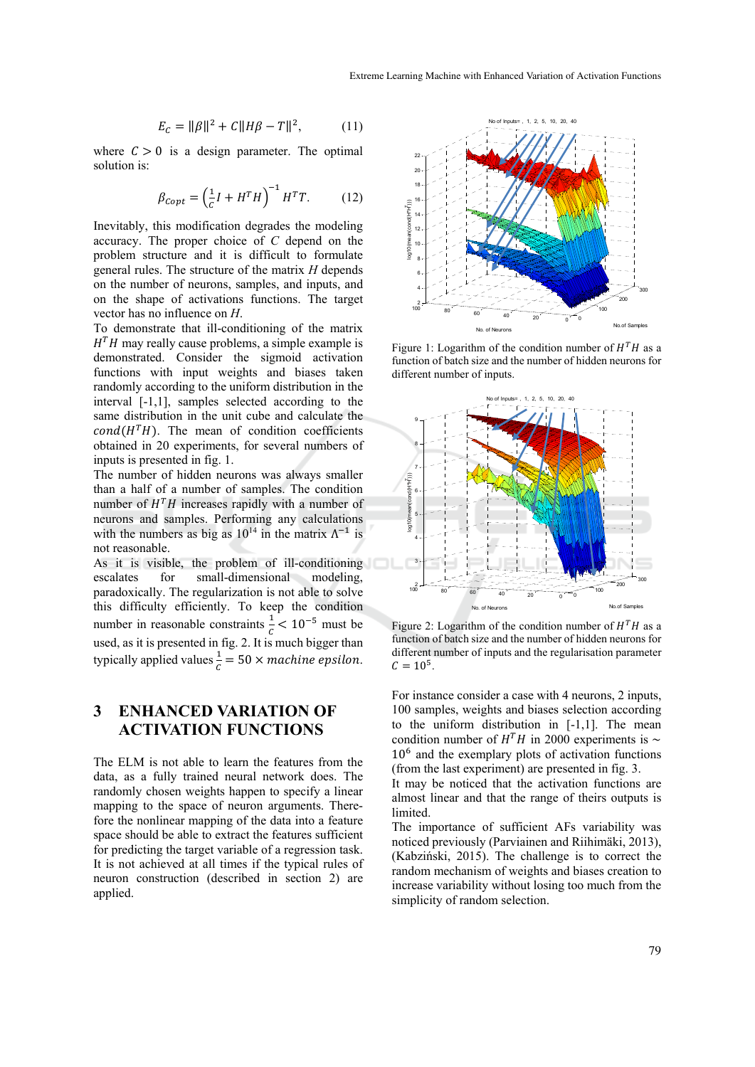$$
E_C = ||\beta||^2 + C||H\beta - T||^2, \tag{11}
$$

where  $C > 0$  is a design parameter. The optimal solution is:

$$
\beta_{Copt} = \left(\frac{1}{c}I + H^T H\right)^{-1} H^T T. \tag{12}
$$

Inevitably, this modification degrades the modeling accuracy. The proper choice of *C* depend on the problem structure and it is difficult to formulate general rules. The structure of the matrix *H* depends on the number of neurons, samples, and inputs, and on the shape of activations functions. The target vector has no influence on *H*.

To demonstrate that ill-conditioning of the matrix  $H<sup>T</sup>H$  may really cause problems, a simple example is demonstrated. Consider the sigmoid activation functions with input weights and biases taken randomly according to the uniform distribution in the interval [-1,1], samples selected according to the same distribution in the unit cube and calculate the  $cond(H<sup>T</sup>H)$ . The mean of condition coefficients obtained in 20 experiments, for several numbers of inputs is presented in fig. 1.

The number of hidden neurons was always smaller than a half of a number of samples. The condition number of  $H<sup>T</sup>H$  increases rapidly with a number of neurons and samples. Performing any calculations with the numbers as big as  $10^{14}$  in the matrix  $\Lambda^{-1}$  is not reasonable.

As it is visible, the problem of ill-conditioning escalates for small-dimensional modeling, paradoxically. The regularization is not able to solve this difficulty efficiently. To keep the condition number in reasonable constraints  $\frac{1}{c}$  < 10<sup>-5</sup> must be used, as it is presented in fig. 2. It is much bigger than typically applied values  $\frac{1}{c} = 50 \times machine$  epsilon.

# **3 ENHANCED VARIATION OF ACTIVATION FUNCTIONS**

The ELM is not able to learn the features from the data, as a fully trained neural network does. The randomly chosen weights happen to specify a linear mapping to the space of neuron arguments. Therefore the nonlinear mapping of the data into a feature space should be able to extract the features sufficient for predicting the target variable of a regression task. It is not achieved at all times if the typical rules of neuron construction (described in section 2) are applied.



Figure 1: Logarithm of the condition number of  $H<sup>T</sup>H$  as a function of batch size and the number of hidden neurons for different number of inputs.



Figure 2: Logarithm of the condition number of  $H<sup>T</sup>H$  as a function of batch size and the number of hidden neurons for different number of inputs and the regularisation parameter  $C = 10^5$ .

For instance consider a case with 4 neurons, 2 inputs, 100 samples, weights and biases selection according to the uniform distribution in [-1,1]. The mean condition number of  $H<sup>T</sup>H$  in 2000 experiments is ~  $10<sup>6</sup>$  and the exemplary plots of activation functions (from the last experiment) are presented in fig. 3.

It may be noticed that the activation functions are almost linear and that the range of theirs outputs is limited.

The importance of sufficient AFs variability was noticed previously (Parviainen and Riihimäki, 2013), (Kabziński, 2015). The challenge is to correct the random mechanism of weights and biases creation to increase variability without losing too much from the simplicity of random selection.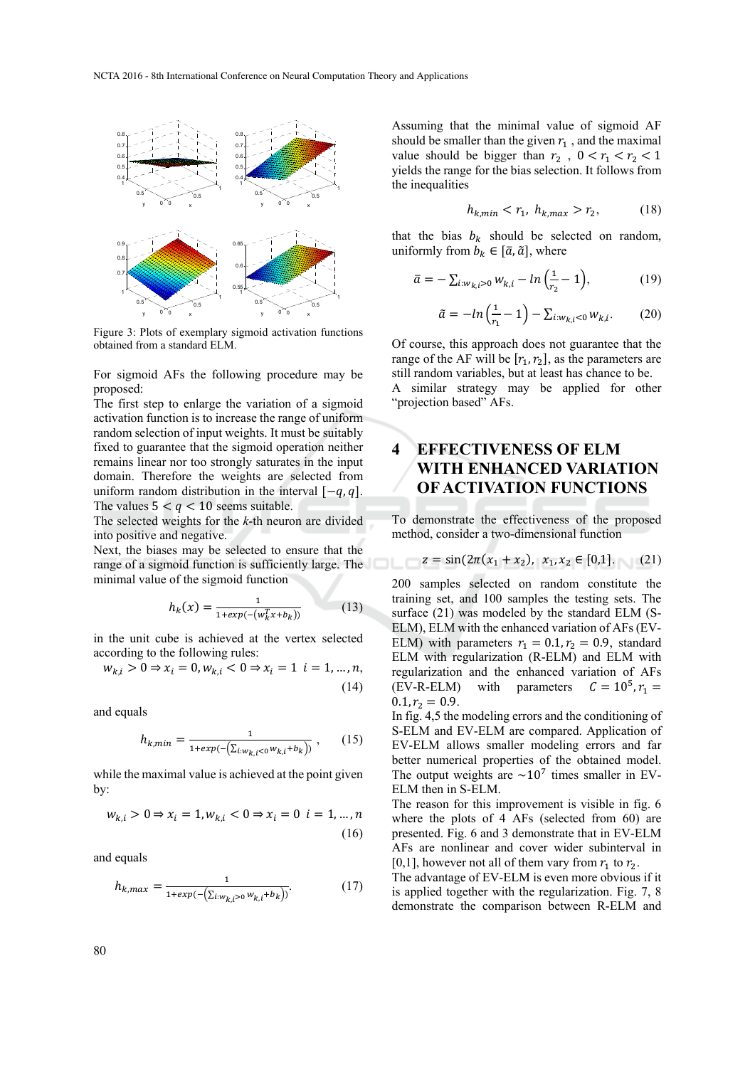

Figure 3: Plots of exemplary sigmoid activation functions obtained from a standard ELM.

For sigmoid AFs the following procedure may be proposed:

The first step to enlarge the variation of a sigmoid activation function is to increase the range of uniform random selection of input weights. It must be suitably fixed to guarantee that the sigmoid operation neither remains linear nor too strongly saturates in the input domain. Therefore the weights are selected from uniform random distribution in the interval  $[-q, q]$ . The values  $5 < q < 10$  seems suitable.

The selected weights for the *k*-th neuron are divided into positive and negative.

Next, the biases may be selected to ensure that the range of a sigmoid function is sufficiently large. The minimal value of the sigmoid function

$$
h_k(x) = \frac{1}{1 + exp(-\left(w_k^T x + b_k\right))} \tag{13}
$$

in the unit cube is achieved at the vertex selected according to the following rules:

$$
w_{k,i} > 0 \Rightarrow x_i = 0, w_{k,i} < 0 \Rightarrow x_i = 1 \ \ i = 1, ..., n,
$$
\n(14)

and equals

$$
h_{k,min} = \frac{1}{1 + exp(-(\sum_{i:w_{k,i} < 0} w_{k,i} + b_k))},\qquad(15)
$$

while the maximal value is achieved at the point given by:

$$
w_{k,i} > 0 \Rightarrow x_i = 1, w_{k,i} < 0 \Rightarrow x_i = 0 \ \ i = 1, ..., n
$$
\n(16)

and equals

$$
h_{k,max} = \frac{1}{1 + exp(-(\sum_{i:w_{k,i}>0} w_{k,i} + b_k))}.
$$
 (17)

Assuming that the minimal value of sigmoid AF should be smaller than the given  $r_1$ , and the maximal value should be bigger than  $r_2$ ,  $0 < r_1 < r_2 < 1$ yields the range for the bias selection. It follows from the inequalities

$$
h_{k,min} < r_1, \ h_{k,max} > r_2,\tag{18}
$$

that the bias  $b_k$  should be selected on random, uniformly from  $b_k \in [\bar{a}, \tilde{a}]$ , where

$$
\bar{a} = -\sum_{i:w_{k,i}>0} w_{k,i} - \ln\left(\frac{1}{r_2} - 1\right),\tag{19}
$$

$$
\tilde{a} = -\ln\left(\frac{1}{r_1} - 1\right) - \sum_{i:w_{k,i} < 0} w_{k,i}.\tag{20}
$$

Of course, this approach does not guarantee that the range of the AF will be  $[r_1, r_2]$ , as the parameters are still random variables, but at least has chance to be. A similar strategy may be applied for other "projection based" AFs.

# **4 EFFECTIVENESS OF ELM WITH ENHANCED VARIATION OF ACTIVATION FUNCTIONS**

To demonstrate the effectiveness of the proposed method, consider a two-dimensional function

$$
z = \sin(2\pi(x_1 + x_2), x_1, x_2 \in [0,1].
$$
 (21)

200 samples selected on random constitute the training set, and 100 samples the testing sets. The surface (21) was modeled by the standard ELM (S-ELM), ELM with the enhanced variation of AFs (EV-ELM) with parameters  $r_1 = 0.1, r_2 = 0.9$ , standard ELM with regularization (R-ELM) and ELM with regularization and the enhanced variation of AFs  $(EV-R-ELM)$  with parameters  $C = 10^5$ ,  $r_1 =$  $0.1, r_2 = 0.9.$ 

In fig. 4,5 the modeling errors and the conditioning of S-ELM and EV-ELM are compared. Application of EV-ELM allows smaller modeling errors and far better numerical properties of the obtained model. The output weights are  $\sim 10^7$  times smaller in EV-ELM then in S-ELM.

The reason for this improvement is visible in fig. 6 where the plots of 4 AFs (selected from 60) are presented. Fig. 6 and 3 demonstrate that in EV-ELM AFs are nonlinear and cover wider subinterval in [0,1], however not all of them vary from  $r_1$  to  $r_2$ .

The advantage of EV-ELM is even more obvious if it is applied together with the regularization. Fig. 7, 8 demonstrate the comparison between R-ELM and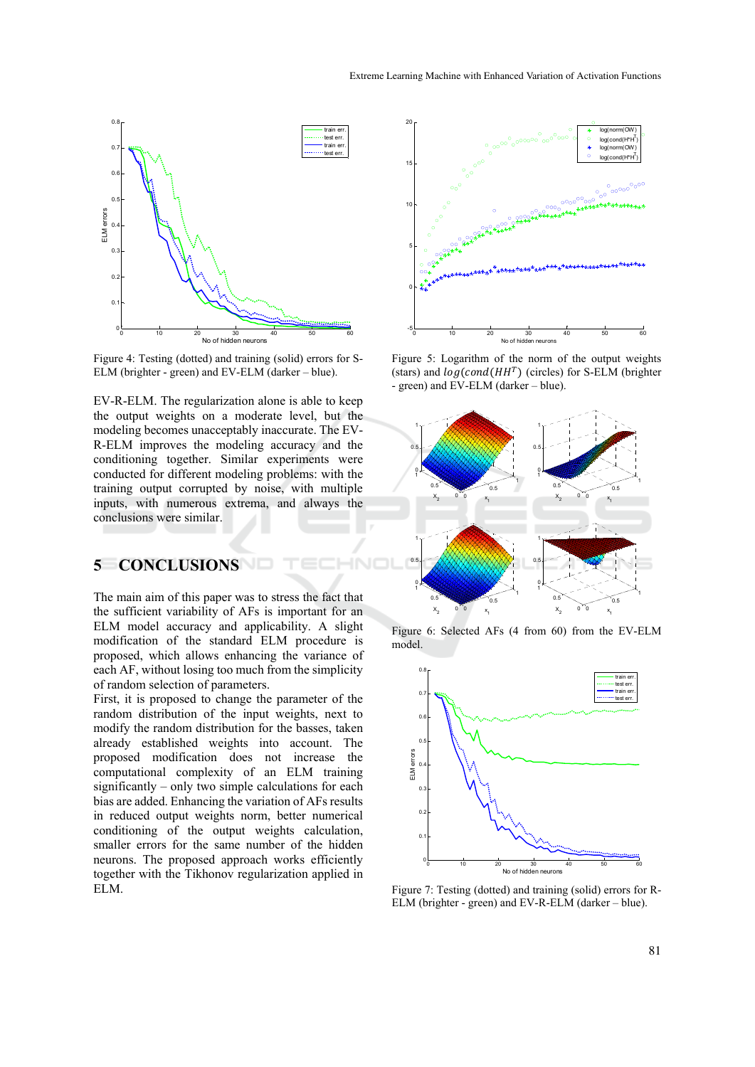

Figure 4: Testing (dotted) and training (solid) errors for S-ELM (brighter - green) and EV-ELM (darker – blue).

EV-R-ELM. The regularization alone is able to keep the output weights on a moderate level, but the modeling becomes unacceptably inaccurate. The EV-R-ELM improves the modeling accuracy and the conditioning together. Similar experiments were conducted for different modeling problems: with the training output corrupted by noise, with multiple inputs, with numerous extrema, and always the conclusions were similar.

### **5 CONCLUSIONS**

The main aim of this paper was to stress the fact that the sufficient variability of AFs is important for an ELM model accuracy and applicability. A slight modification of the standard ELM procedure is proposed, which allows enhancing the variance of each AF, without losing too much from the simplicity of random selection of parameters.

First, it is proposed to change the parameter of the random distribution of the input weights, next to modify the random distribution for the basses, taken already established weights into account. The proposed modification does not increase the computational complexity of an ELM training significantly – only two simple calculations for each bias are added. Enhancing the variation of AFs results in reduced output weights norm, better numerical conditioning of the output weights calculation, smaller errors for the same number of the hidden neurons. The proposed approach works efficiently together with the Tikhonov regularization applied in ELM.



Figure 5: Logarithm of the norm of the output weights (stars) and  $log(cond(HH<sup>T</sup>)$  (circles) for S-ELM (brighter - green) and EV-ELM (darker – blue).



Figure 6: Selected AFs (4 from 60) from the EV-ELM model.



Figure 7: Testing (dotted) and training (solid) errors for R-ELM (brighter - green) and EV-R-ELM (darker – blue).